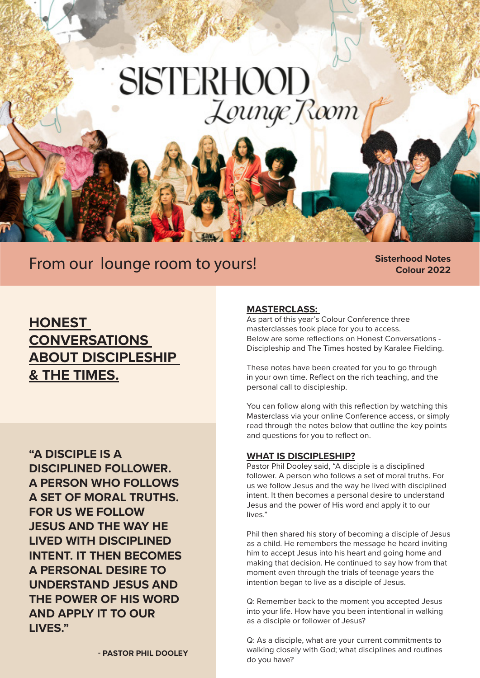# **SISTERHOOD** Lounge Room

## From our lounge room to yours! **Sisterhood Notes**

**Colour 2022**

### **HONEST CONVERSATIONS ABOUT DISCIPLESHIP & THE TIMES.**

**"A DISCIPLE IS A DISCIPLINED FOLLOWER. A PERSON WHO FOLLOWS A SET OF MORAL TRUTHS. FOR US WE FOLLOW JESUS AND THE WAY HE LIVED WITH DISCIPLINED INTENT. IT THEN BECOMES A PERSONAL DESIRE TO UNDERSTAND JESUS AND THE POWER OF HIS WORD AND APPLY IT TO OUR LIVES."**

#### **MASTERCLASS:**

As part of this year's Colour Conference three masterclasses took place for you to access. Below are some reflections on Honest Conversations - Discipleship and The Times hosted by Karalee Fielding.

These notes have been created for you to go through in your own time. Reflect on the rich teaching, and the personal call to discipleship.

You can follow along with this reflection by watching this Masterclass via your online Conference access, or simply read through the notes below that outline the key points and questions for you to reflect on.

#### **WHAT IS DISCIPLESHIP?**

Pastor Phil Dooley said, "A disciple is a disciplined follower. A person who follows a set of moral truths. For us we follow Jesus and the way he lived with disciplined intent. It then becomes a personal desire to understand Jesus and the power of His word and apply it to our lives."

Phil then shared his story of becoming a disciple of Jesus as a child. He remembers the message he heard inviting him to accept Jesus into his heart and going home and making that decision. He continued to say how from that moment even through the trials of teenage years the intention began to live as a disciple of Jesus.

Q: Remember back to the moment you accepted Jesus into your life. How have you been intentional in walking as a disciple or follower of Jesus?

Q: As a disciple, what are your current commitments to walking closely with God; what disciplines and routines do you have?

**- PASTOR PHIL DOOLEY**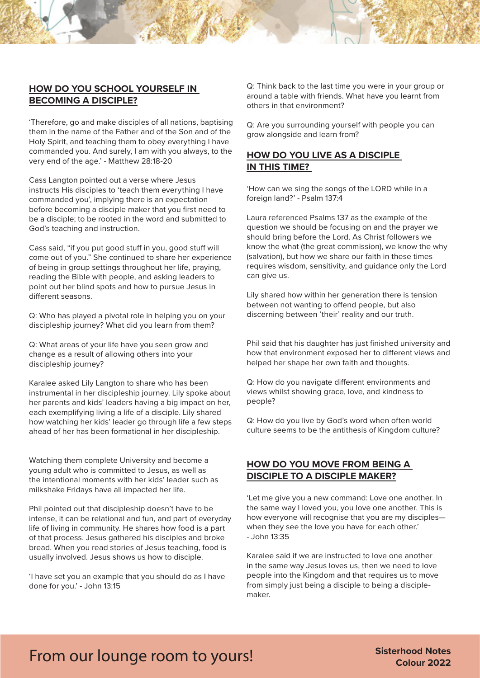#### **HOW DO YOU SCHOOL YOURSELF IN BECOMING A DISCIPLE?**

'Therefore, go and make disciples of all nations, baptising them in the name of the Father and of the Son and of the Holy Spirit, and teaching them to obey everything I have commanded you. And surely, I am with you always, to the very end of the age.' - Matthew 28:18-20

Cass Langton pointed out a verse where Jesus instructs His disciples to 'teach them everything I have commanded you', implying there is an expectation before becoming a disciple maker that you first need to be a disciple; to be rooted in the word and submitted to God's teaching and instruction.

Cass said, "if you put good stuff in you, good stuff will come out of you." She continued to share her experience of being in group settings throughout her life, praying, reading the Bible with people, and asking leaders to point out her blind spots and how to pursue Jesus in different seasons.

Q: Who has played a pivotal role in helping you on your discipleship journey? What did you learn from them?

Q: What areas of your life have you seen grow and change as a result of allowing others into your discipleship journey?

Karalee asked Lily Langton to share who has been instrumental in her discipleship journey. Lily spoke about her parents and kids' leaders having a big impact on her, each exemplifying living a life of a disciple. Lily shared how watching her kids' leader go through life a few steps ahead of her has been formational in her discipleship.

Watching them complete University and become a young adult who is committed to Jesus, as well as the intentional moments with her kids' leader such as milkshake Fridays have all impacted her life.

Phil pointed out that discipleship doesn't have to be intense, it can be relational and fun, and part of everyday life of living in community. He shares how food is a part of that process. Jesus gathered his disciples and broke bread. When you read stories of Jesus teaching, food is usually involved. Jesus shows us how to disciple.

'I have set you an example that you should do as I have done for you.' - John 13:15

Q: Think back to the last time you were in your group or around a table with friends. What have you learnt from others in that environment?

Q: Are you surrounding yourself with people you can grow alongside and learn from?

#### **HOW DO YOU LIVE AS A DISCIPLE IN THIS TIME?**

'How can we sing the songs of the LORD while in a foreign land?' - Psalm 137:4

Laura referenced Psalms 137 as the example of the question we should be focusing on and the prayer we should bring before the Lord. As Christ followers we know the what (the great commission), we know the why (salvation), but how we share our faith in these times requires wisdom, sensitivity, and guidance only the Lord can give us.

Lily shared how within her generation there is tension between not wanting to offend people, but also discerning between 'their' reality and our truth.

Phil said that his daughter has just finished university and how that environment exposed her to different views and helped her shape her own faith and thoughts.

Q: How do you navigate different environments and views whilst showing grace, love, and kindness to people?

Q: How do you live by God's word when often world culture seems to be the antithesis of Kingdom culture?

#### **HOW DO YOU MOVE FROM BEING A DISCIPLE TO A DISCIPLE MAKER?**

'Let me give you a new command: Love one another. In the same way I loved you, you love one another. This is how everyone will recognise that you are my disciples when they see the love you have for each other.'  $-$  John 13:35

Karalee said if we are instructed to love one another in the same way Jesus loves us, then we need to love people into the Kingdom and that requires us to move from simply just being a disciple to being a disciplemaker.

## From our lounge room to yours! **Sisterhood Notes**

**Colour 2022**